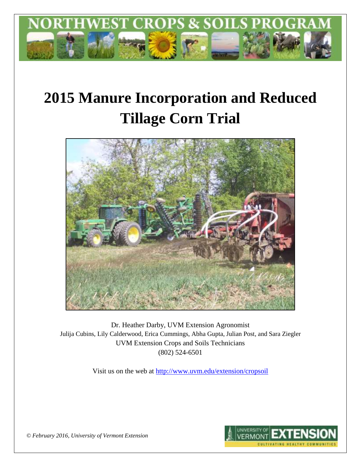

# **2015 Manure Incorporation and Reduced Tillage Corn Trial**



Dr. Heather Darby, UVM Extension Agronomist Julija Cubins, Lily Calderwood, Erica Cummings, Abha Gupta, Julian Post, and Sara Ziegler UVM Extension Crops and Soils Technicians (802) 524-6501

Visit us on the web at<http://www.uvm.edu/extension/cropsoil>



*© February 2016, University of Vermont Extension*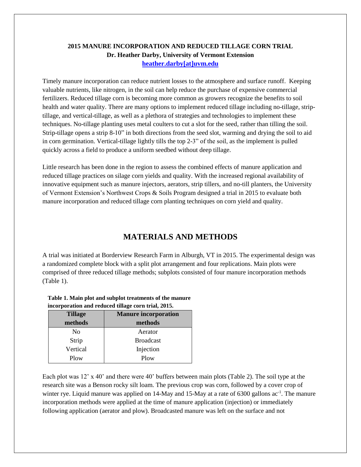## **2015 MANURE INCORPORATION AND REDUCED TILLAGE CORN TRIAL Dr. Heather Darby, University of Vermont Extension [heather.darby\[at\]uvm.edu](mailto:heather.darby@uvm.edu?subject=2013%20MINT%20Trial)**

Timely manure incorporation can reduce nutrient losses to the atmosphere and surface runoff. Keeping valuable nutrients, like nitrogen, in the soil can help reduce the purchase of expensive commercial fertilizers. Reduced tillage corn is becoming more common as growers recognize the benefits to soil health and water quality. There are many options to implement reduced tillage including no-tillage, striptillage, and vertical-tillage, as well as a plethora of strategies and technologies to implement these techniques. No-tillage planting uses metal coulters to cut a slot for the seed, rather than tilling the soil. Strip-tillage opens a strip 8-10" in both directions from the seed slot, warming and drying the soil to aid in corn germination. Vertical-tillage lightly tills the top 2-3" of the soil, as the implement is pulled quickly across a field to produce a uniform seedbed without deep tillage.

Little research has been done in the region to assess the combined effects of manure application and reduced tillage practices on silage corn yields and quality. With the increased regional availability of innovative equipment such as manure injectors, aerators, strip tillers, and no-till planters, the University of Vermont Extension's Northwest Crops & Soils Program designed a trial in 2015 to evaluate both manure incorporation and reduced tillage corn planting techniques on corn yield and quality.

# **MATERIALS AND METHODS**

A trial was initiated at Borderview Research Farm in Alburgh, VT in 2015. The experimental design was a randomized complete block with a split plot arrangement and four replications. Main plots were comprised of three reduced tillage methods; subplots consisted of four manure incorporation methods (Table 1).

#### **Table 1. Main plot and subplot treatments of the manure incorporation and reduced tillage corn trial, 2015.**

| <b>Manure incorporation</b><br><b>Tillage</b> |                  |  |
|-----------------------------------------------|------------------|--|
| methods                                       | methods          |  |
| No                                            | Aerator          |  |
| Strip                                         | <b>Broadcast</b> |  |
| Vertical                                      | Injection        |  |
| Plow                                          | Plow             |  |

Each plot was 12' x 40' and there were 40' buffers between main plots (Table 2). The soil type at the research site was a Benson rocky silt loam. The previous crop was corn, followed by a cover crop of winter rye. Liquid manure was applied on 14-May and 15-May at a rate of 6300 gallons ac<sup>-1</sup>. The manure incorporation methods were applied at the time of manure application (injection) or immediately following application (aerator and plow). Broadcasted manure was left on the surface and not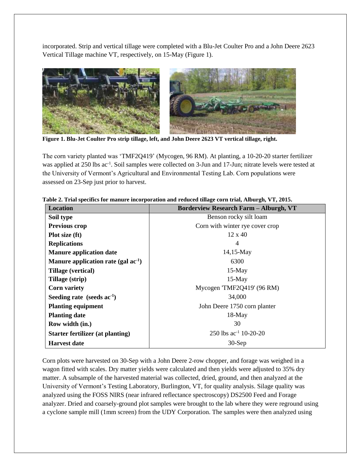incorporated. Strip and vertical tillage were completed with a Blu-Jet Coulter Pro and a John Deere 2623 Vertical Tillage machine VT, respectively, on 15-May (Figure 1).



**Figure 1. Blu-Jet Coulter Pro strip tillage, left, and John Deere 2623 VT vertical tillage, right.**

The corn variety planted was 'TMF2Q419' (Mycogen, 96 RM). At planting, a 10-20-20 starter fertilizer was applied at 250 lbs ac<sup>-1</sup>. Soil samples were collected on 3-Jun and 17-Jun; nitrate levels were tested at the University of Vermont's Agricultural and Environmental Testing Lab. Corn populations were assessed on 23-Sep just prior to harvest.

| <b>Location</b>                          | <b>Borderview Research Farm - Alburgh, VT</b> |  |  |  |  |
|------------------------------------------|-----------------------------------------------|--|--|--|--|
| Soil type                                | Benson rocky silt loam                        |  |  |  |  |
| Previous crop                            | Corn with winter rye cover crop               |  |  |  |  |
| Plot size (ft)                           | $12 \times 40$                                |  |  |  |  |
| <b>Replications</b>                      | 4                                             |  |  |  |  |
| <b>Manure application date</b>           | $14,15$ -May                                  |  |  |  |  |
| Manure application rate (gal $ac^{-1}$ ) | 6300                                          |  |  |  |  |
| Tillage (vertical)                       | $15-May$                                      |  |  |  |  |
| Tillage (strip)                          | $15-May$                                      |  |  |  |  |
| <b>Corn variety</b>                      | Mycogen 'TMF2Q419' (96 RM)                    |  |  |  |  |
| Seeding rate (seeds $ac^{-1}$ )          | 34,000                                        |  |  |  |  |
| <b>Planting equipment</b>                | John Deere 1750 corn planter                  |  |  |  |  |
| <b>Planting date</b>                     | $18-May$                                      |  |  |  |  |
| Row width (in.)                          | 30                                            |  |  |  |  |
| <b>Starter fertilizer (at planting)</b>  | 250 lbs $ac^{-1}$ 10-20-20                    |  |  |  |  |
| <b>Harvest date</b>                      | $30-Sep$                                      |  |  |  |  |

|  | Table 2. Trial specifics for manure incorporation and reduced tillage corn trial, Alburgh, VT, 2015. |  |  |
|--|------------------------------------------------------------------------------------------------------|--|--|
|  |                                                                                                      |  |  |

Corn plots were harvested on 30-Sep with a John Deere 2-row chopper, and forage was weighed in a wagon fitted with scales. Dry matter yields were calculated and then yields were adjusted to 35% dry matter. A subsample of the harvested material was collected, dried, ground, and then analyzed at the University of Vermont's Testing Laboratory, Burlington, VT, for quality analysis. Silage quality was analyzed using the FOSS NIRS (near infrared reflectance spectroscopy) DS2500 Feed and Forage analyzer. Dried and coarsely-ground plot samples were brought to the lab where they were reground using a cyclone sample mill (1mm screen) from the UDY Corporation. The samples were then analyzed using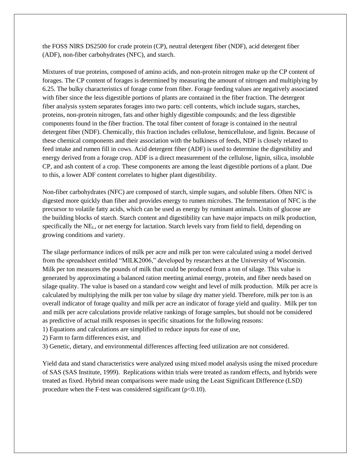the FOSS NIRS DS2500 for crude protein (CP), neutral detergent fiber (NDF), acid detergent fiber (ADF), non-fiber carbohydrates (NFC), and starch.

Mixtures of true proteins, composed of amino acids, and non-protein nitrogen make up the CP content of forages. The CP content of forages is determined by measuring the amount of nitrogen and multiplying by 6.25. The bulky characteristics of forage come from fiber. Forage feeding values are negatively associated with fiber since the less digestible portions of plants are contained in the fiber fraction. The detergent fiber analysis system separates forages into two parts: cell contents, which include sugars, starches, proteins, non-protein nitrogen, fats and other highly digestible compounds; and the less digestible components found in the fiber fraction. The total fiber content of forage is contained in the neutral detergent fiber (NDF). Chemically, this fraction includes cellulose, hemicellulose, and lignin. Because of these chemical components and their association with the bulkiness of feeds, NDF is closely related to feed intake and rumen fill in cows. Acid detergent fiber (ADF) is used to determine the digestibility and energy derived from a forage crop. ADF is a direct measurement of the cellulose, lignin, silica, insoluble CP, and ash content of a crop. These components are among the least digestible portions of a plant. Due to this, a lower ADF content correlates to higher plant digestibility.

Non-fiber carbohydrates (NFC) are composed of starch, simple sugars, and soluble fibers. Often NFC is digested more quickly than fiber and provides energy to rumen microbes. The fermentation of NFC is the precursor to volatile fatty acids, which can be used as energy by ruminant animals. Units of glucose are the building blocks of starch. Starch content and digestibility can have major impacts on milk production, specifically the NEL, or net energy for lactation. Starch levels vary from field to field, depending on growing conditions and variety.

The silage performance indices of milk per acre and milk per ton were calculated using a model derived from the spreadsheet entitled "MILK2006," developed by researchers at the University of Wisconsin. Milk per ton measures the pounds of milk that could be produced from a ton of silage. This value is generated by approximating a balanced ration meeting animal energy, protein, and fiber needs based on silage quality. The value is based on a standard cow weight and level of milk production. Milk per acre is calculated by multiplying the milk per ton value by silage dry matter yield. Therefore, milk per ton is an overall indicator of forage quality and milk per acre an indicator of forage yield and quality. Milk per ton and milk per acre calculations provide relative rankings of forage samples, but should not be considered as predictive of actual milk responses in specific situations for the following reasons:

1) Equations and calculations are simplified to reduce inputs for ease of use,

2) Farm to farm differences exist, and

3) Genetic, dietary, and environmental differences affecting feed utilization are not considered.

Yield data and stand characteristics were analyzed using mixed model analysis using the mixed procedure of SAS (SAS Institute, 1999). Replications within trials were treated as random effects, and hybrids were treated as fixed. Hybrid mean comparisons were made using the Least Significant Difference (LSD) procedure when the F-test was considered significant  $(p<0.10)$ .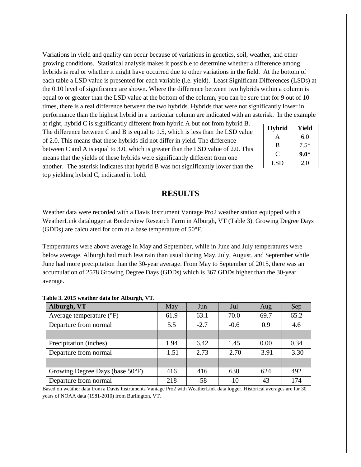Variations in yield and quality can occur because of variations in genetics, soil, weather, and other growing conditions. Statistical analysis makes it possible to determine whether a difference among hybrids is real or whether it might have occurred due to other variations in the field. At the bottom of each table a LSD value is presented for each variable (i.e. yield). Least Significant Differences (LSDs) at the 0.10 level of significance are shown. Where the difference between two hybrids within a column is equal to or greater than the LSD value at the bottom of the column, you can be sure that for 9 out of 10 times, there is a real difference between the two hybrids. Hybrids that were not significantly lower in performance than the highest hybrid in a particular column are indicated with an asterisk. In the example

at right, hybrid C is significantly different from hybrid A but not from hybrid B. The difference between C and B is equal to 1.5, which is less than the LSD value of 2.0. This means that these hybrids did not differ in yield. The difference between C and A is equal to 3.0, which is greater than the LSD value of 2.0. This means that the yields of these hybrids were significantly different from one another. The asterisk indicates that hybrid B was not significantly lower than the top yielding hybrid C, indicated in bold.

| <b>Hybrid</b> | Yield  |
|---------------|--------|
| A             | 6.0    |
| B             | $7.5*$ |
| €             | 9.0*   |
| LSD           | 2.0    |

## **RESULTS**

Weather data were recorded with a Davis Instrument Vantage Pro2 weather station equipped with a WeatherLink datalogger at Borderview Research Farm in Alburgh, VT (Table 3). Growing Degree Days (GDDs) are calculated for corn at a base temperature of 50°F.

Temperatures were above average in May and September, while in June and July temperatures were below average. Alburgh had much less rain than usual during May, July, August, and September while June had more precipitation than the 30-year average. From May to September of 2015, there was an accumulation of 2578 Growing Degree Days (GDDs) which is 367 GDDs higher than the 30-year average.

| Alburgh, VT                     | May     | Jun    | Jul     | Aug     | Sep     |
|---------------------------------|---------|--------|---------|---------|---------|
| Average temperature (°F)        | 61.9    | 63.1   | 70.0    | 69.7    | 65.2    |
| Departure from normal           | 5.5     | $-2.7$ | $-0.6$  | 0.9     | 4.6     |
|                                 |         |        |         |         |         |
| Precipitation (inches)          | 1.94    | 6.42   | 1.45    | 0.00    | 0.34    |
| Departure from normal           | $-1.51$ | 2.73   | $-2.70$ | $-3.91$ | $-3.30$ |
|                                 |         |        |         |         |         |
| Growing Degree Days (base 50°F) | 416     | 416    | 630     | 624     | 492     |
| Departure from normal           | 218     | $-58$  | $-10$   | 43      | 174     |

#### **Table 3. 2015 weather data for Alburgh, VT.**

Based on weather data from a Davis Instruments Vantage Pro2 with WeatherLink data logger. Historical averages are for 30 years of NOAA data (1981-2010) from Burlington, VT.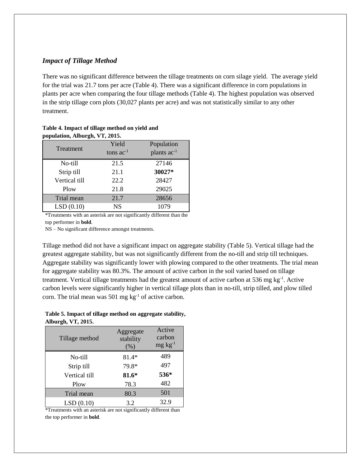## *Impact of Tillage Method*

There was no significant difference between the tillage treatments on corn silage yield. The average yield for the trial was 21.7 tons per acre (Table 4). There was a significant difference in corn populations in plants per acre when comparing the four tillage methods (Table 4). The highest population was observed in the strip tillage corn plots (30,027 plants per acre) and was not statistically similar to any other treatment.

| population, Alburgh, $\mathbf{v}$ 1, $\mathbf{z}$ 013. |                |                         |  |  |  |  |
|--------------------------------------------------------|----------------|-------------------------|--|--|--|--|
|                                                        | Yield          | Population              |  |  |  |  |
| Treatment                                              | tons $ac^{-1}$ | plants ac <sup>-1</sup> |  |  |  |  |
| No-till                                                | 21.5           | 27146                   |  |  |  |  |
| Strip till                                             | 21.1           | 30027*                  |  |  |  |  |
| Vertical till                                          | 22.2           | 28427                   |  |  |  |  |
| Plow                                                   | 21.8           | 29025                   |  |  |  |  |
| Trial mean                                             | 21.7           | 28656                   |  |  |  |  |
| LSD(0.10)                                              | NS             | 1079                    |  |  |  |  |

#### **Table 4. Impact of tillage method on yield and population, Alburgh, VT, 2015.**

\*Treatments with an asterisk are not significantly different than the

top performer in **bold**.

NS – No significant difference amongst treatments.

Tillage method did not have a significant impact on aggregate stability (Table 5). Vertical tillage had the greatest aggregate stability, but was not significantly different from the no-till and strip till techniques. Aggregate stability was significantly lower with plowing compared to the other treatments. The trial mean for aggregate stability was 80.3%. The amount of active carbon in the soil varied based on tillage treatment. Vertical tillage treatments had the greatest amount of active carbon at 536 mg kg<sup>-1</sup>. Active carbon levels were significantly higher in vertical tillage plots than in no-till, strip tilled, and plow tilled corn. The trial mean was 501 mg  $kg^{-1}$  of active carbon.

**Table 5. Impact of tillage method on aggregate stability, Alburgh, VT, 2015.**

| Tillage method | Aggregate<br>stability<br>(% ) | Active<br>carbon<br>$mg \, kg^{-1}$ |
|----------------|--------------------------------|-------------------------------------|
| No-till        | 81.4*                          | 489                                 |
| Strip till     | 79.8*                          | 497                                 |
| Vertical till  | 81.6*                          | 536*                                |
| Plow           | 78.3                           | 482                                 |
| Trial mean     | 80.3                           | 501                                 |
| LSD(0.10)      | 3.2                            | 32.9                                |

\*Treatments with an asterisk are not significantly different than the top performer in **bold**.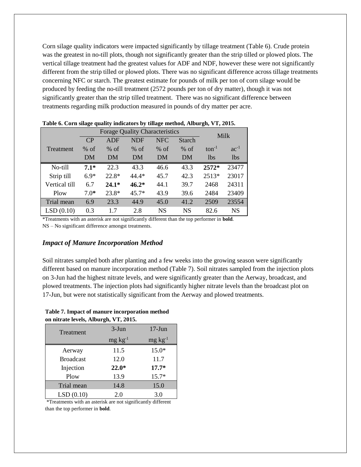Corn silage quality indicators were impacted significantly by tillage treatment (Table 6). Crude protein was the greatest in no-till plots, though not significantly greater than the strip tilled or plowed plots. The vertical tillage treatment had the greatest values for ADF and NDF, however these were not significantly different from the strip tilled or plowed plots. There was no significant difference across tillage treatments concerning NFC or starch. The greatest estimate for pounds of milk per ton of corn silage would be produced by feeding the no-till treatment (2572 pounds per ton of dry matter), though it was not significantly greater than the strip tilled treatment. There was no significant difference between treatments regarding milk production measured in pounds of dry matter per acre.

|                                       | -      |            |            | -          |               | $\bullet$       |            |
|---------------------------------------|--------|------------|------------|------------|---------------|-----------------|------------|
| <b>Forage Quality Characteristics</b> |        |            |            |            |               |                 | Milk       |
|                                       | CP     | <b>ADF</b> | <b>NDF</b> | <b>NFC</b> | <b>Starch</b> |                 |            |
| Treatment                             | $%$ of | $%$ of     | $%$ of     | $%$ of     | $%$ of        | $ton^{-1}$      | $ac^{-1}$  |
|                                       | DM     | DM         | DM         | DM         | DM            | 1 <sub>bs</sub> | <i>lbs</i> |
| No-till                               | $7.1*$ | 22.3       | 43.3       | 46.6       | 43.3          | $2572*$         | 23477      |
| Strip till                            | $6.9*$ | $22.8*$    | $44.4*$    | 45.7       | 42.3          | 2513*           | 23017      |
| Vertical till                         | 6.7    | $24.1*$    | $46.2*$    | 44.1       | 39.7          | 2468            | 24311      |
| Plow                                  | $7.0*$ | $23.8*$    | $45.7*$    | 43.9       | 39.6          | 2484            | 23409      |
| Trial mean                            | 6.9    | 23.3       | 44.9       | 45.0       | 41.2          | 2509            | 23554      |
| LSD(0.10)                             | 0.3    | 17         | 2.8        | <b>NS</b>  | <b>NS</b>     | 82.6            | NS         |

**Table 6. Corn silage quality indicators by tillage method, Alburgh, VT, 2015.**

\*Treatments with an asterisk are not significantly different than the top performer in **bold**.

NS – No significant difference amongst treatments.

## *Impact of Manure Incorporation Method*

Soil nitrates sampled both after planting and a few weeks into the growing season were significantly different based on manure incorporation method (Table 7). Soil nitrates sampled from the injection plots on 3-Jun had the highest nitrate levels, and were significantly greater than the Aerway, broadcast, and plowed treatments. The injection plots had significantly higher nitrate levels than the broadcast plot on 17-Jun, but were not statistically significant from the Aerway and plowed treatments.

#### **Table 7. Impact of manure incorporation method on nitrate levels, Alburgh, VT, 2015.**

| Treatment        | $3-J$ un      | $17-J$ un       |
|------------------|---------------|-----------------|
|                  | $mg\,kg^{-1}$ | $mg \, kg^{-1}$ |
| Aerway           | 11.5          | $15.0*$         |
| <b>Broadcast</b> | 12.0          | 11.7            |
| Injection        | $22.0*$       | $17.7*$         |
| Plow             | 13.9          | $15.7*$         |
| Trial mean       | 14.8          | 15.0            |
| LSD(0.10)        | 2.0           | 3.0             |

\*Treatments with an asterisk are not significantly different than the top performer in **bold**.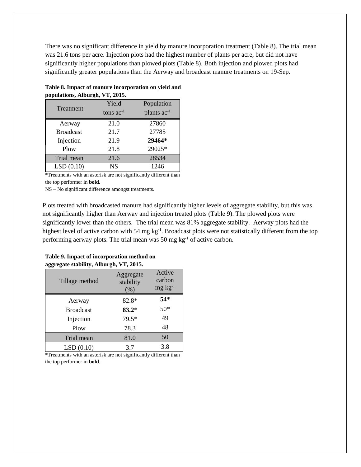There was no significant difference in yield by manure incorporation treatment (Table 8). The trial mean was 21.6 tons per acre. Injection plots had the highest number of plants per acre, but did not have significantly higher populations than plowed plots (Table 8). Both injection and plowed plots had significantly greater populations than the Aerway and broadcast manure treatments on 19-Sep.

|                  | Yield          | Population       |
|------------------|----------------|------------------|
| Treatment        | tons $ac^{-1}$ | plants $ac^{-1}$ |
| Aerway           | 21.0           | 27860            |
| <b>Broadcast</b> | 21.7           | 27785            |
| Injection        | 21.9           | 29464*           |
| Plow             | 21.8           | 29025*           |
| Trial mean       | 21.6           | 28534            |
| LSD(0.10)        | <b>NS</b>      | 1246             |

## **Table 8. Impact of manure incorporation on yield and populations, Alburgh, VT, 2015.**

\*Treatments with an asterisk are not significantly different than the top performer in **bold**.

NS – No significant difference amongst treatments.

Plots treated with broadcasted manure had significantly higher levels of aggregate stability, but this was not significantly higher than Aerway and injection treated plots (Table 9). The plowed plots were significantly lower than the others. The trial mean was 81% aggregate stability. Aerway plots had the highest level of active carbon with 54 mg kg<sup>-1</sup>. Broadcast plots were not statistically different from the top performing aerway plots. The trial mean was 50 mg  $kg<sup>-1</sup>$  of active carbon.

| UU               |                               |                                     |
|------------------|-------------------------------|-------------------------------------|
| Tillage method   | Aggregate<br>stability<br>(%) | Active<br>carbon<br>$mg \, kg^{-1}$ |
| Aerway           | 82.8*                         | $54*$                               |
| <b>Broadcast</b> | $83.2*$                       | $50*$                               |
| Injection        | 79.5*                         | 49                                  |
| Plow             | 78.3                          | 48                                  |
| Trial mean       | 81.0                          | 50                                  |
| LSD(0.10)        | 3.7                           | 3.8                                 |

#### **Table 9. Impact of incorporation method on aggregate stability, Alburgh, VT, 2015.**

\*Treatments with an asterisk are not significantly different than the top performer in **bold**.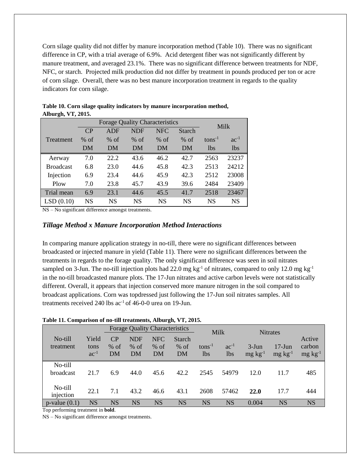Corn silage quality did not differ by manure incorporation method (Table 10). There was no significant difference in CP, with a trial average of 6.9%. Acid detergent fiber was not significantly different by manure treatment, and averaged 23.1%. There was no significant difference between treatments for NDF, NFC, or starch. Projected milk production did not differ by treatment in pounds produced per ton or acre of corn silage. Overall, there was no best manure incorporation treatment in regards to the quality indicators for corn silage.

| <b>Forage Quality Characteristics</b> |           |            |            |            | Milk          |             |            |
|---------------------------------------|-----------|------------|------------|------------|---------------|-------------|------------|
|                                       | CP        | <b>ADF</b> | <b>NDF</b> | <b>NFC</b> | <b>Starch</b> |             |            |
| Treatment                             | $%$ of    | $%$ of     | $%$ of     | $%$ of     | $%$ of        | $tons^{-1}$ | $ac^{-1}$  |
|                                       | DM        | DM         | DM         | DM         | DM            | <b>lbs</b>  | <i>lbs</i> |
| Aerway                                | 7.0       | 22.2       | 43.6       | 46.2       | 42.7          | 2563        | 23237      |
| <b>Broadcast</b>                      | 6.8       | 23.0       | 44.6       | 45.8       | 42.3          | 2513        | 24212      |
| Injection                             | 6.9       | 23.4       | 44.6       | 45.9       | 42.3          | 2512        | 23008      |
| Plow                                  | 7.0       | 23.8       | 45.7       | 43.9       | 39.6          | 2484        | 23409      |
| Trial mean                            | 6.9       | 23.1       | 44.6       | 45.5       | 41.7          | 2518        | 23467      |
| LSD(0.10)                             | <b>NS</b> | NS         | NS         | <b>NS</b>  | NS            | <b>NS</b>   | <b>NS</b>  |

| Table 10. Corn silage quality indicators by manure incorporation method, |  |
|--------------------------------------------------------------------------|--|
| Alburgh, VT, 2015.                                                       |  |

NS – No significant difference amongst treatments.

#### *Tillage Method x Manure Incorporation Method Interactions*

In comparing manure application strategy in no-till, there were no significant differences between broadcasted or injected manure in yield (Table 11). There were no significant differences between the treatments in regards to the forage quality. The only significant difference was seen in soil nitrates sampled on 3-Jun. The no-till injection plots had 22.0 mg kg<sup>-1</sup> of nitrates, compared to only 12.0 mg kg<sup>-1</sup> in the no-till broadcasted manure plots. The 17-Jun nitrates and active carbon levels were not statistically different. Overall, it appears that injection conserved more manure nitrogen in the soil compared to broadcast applications. Corn was topdressed just following the 17-Jun soil nitrates samples. All treatments received 240 lbs  $ac^{-1}$  of 46-0-0 urea on 19-Jun.

#### **Table 11. Comparison of no-till treatments, Alburgh, VT, 2015.**

|                             |                            |                    |                            | <b>Forage Quality Characteristics</b> |                               | Milk               |                         | <b>Nitrates</b>             |                              |                                     |
|-----------------------------|----------------------------|--------------------|----------------------------|---------------------------------------|-------------------------------|--------------------|-------------------------|-----------------------------|------------------------------|-------------------------------------|
| No-till<br>treatment        | Yield<br>tons<br>$ac^{-1}$ | CP<br>$%$ of<br>DM | <b>NDF</b><br>$%$ of<br>DM | <b>NFC</b><br>$%$ of<br>DM            | <b>Starch</b><br>$%$ of<br>DM | $tons^{-1}$<br>lbs | $ac^{-1}$<br><b>lbs</b> | $3-J$ un<br>$mg \, kg^{-1}$ | $17$ -Jun<br>$mg \, kg^{-1}$ | Active<br>carbon<br>$mg \, kg^{-1}$ |
| No-till<br><b>broadcast</b> | 21.7                       | 6.9                | 44.0                       | 45.6                                  | 42.2                          | 2545               | 54979                   | 12.0                        | 11.7                         | 485                                 |
| No-till<br>injection        | 22.1                       | 7.1                | 43.2                       | 46.6                                  | 43.1                          | 2608               | 57462                   | 22.0                        | 17.7                         | 444                                 |
| $p$ -value $(0.1)$          | <b>NS</b>                  | <b>NS</b>          | <b>NS</b>                  | <b>NS</b>                             | <b>NS</b>                     | <b>NS</b>          | <b>NS</b>               | 0.004                       | <b>NS</b>                    | <b>NS</b>                           |

Top performing treatment in **bold**.

NS – No significant difference amongst treatments.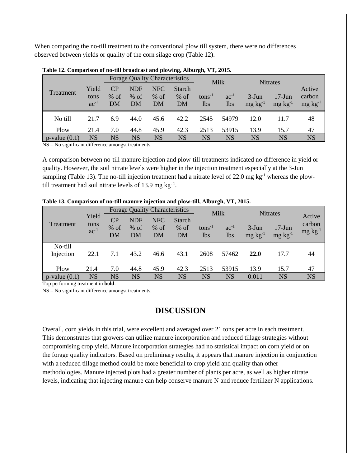When comparing the no-till treatment to the conventional plow till system, there were no differences observed between yields or quality of the corn silage crop (Table 12).

|                    |                            | <b>Forage Quality Characteristics</b> |                     |                     |                               | <b>Milk</b>        |                         | <b>Nitrates</b>             |                              |                                     |  |
|--------------------|----------------------------|---------------------------------------|---------------------|---------------------|-------------------------------|--------------------|-------------------------|-----------------------------|------------------------------|-------------------------------------|--|
| Treatment          | Yield<br>tons<br>$ac^{-1}$ | CP<br>$%$ of<br>DM                    | NDF<br>$%$ of<br>DM | NFC<br>$%$ of<br>DM | <b>Starch</b><br>$%$ of<br>DM | $tons^{-1}$<br>1bs | $ac^{-1}$<br><b>lbs</b> | $3-J$ un<br>$mg \, kg^{-1}$ | $17$ -Jun<br>$mg \, kg^{-1}$ | Active<br>carbon<br>$mg \, kg^{-1}$ |  |
| No till            | 21.7                       | 6.9                                   | 44.0                | 45.6                | 42.2                          | 2545               | 54979                   | 12.0                        | 11.7                         | 48                                  |  |
| Plow               | 21.4                       | 7.0                                   | 44.8                | 45.9                | 42.3                          | 2513               | 53915                   | 13.9                        | 15.7                         | 47                                  |  |
| $p$ -value $(0.1)$ | NS<br>$\cdots$             | NS                                    | NS                  | NS                  | <b>NS</b>                     | NS                 | NS                      | <b>NS</b>                   | NS                           | <b>NS</b>                           |  |

**Table 12. Comparison of no-till broadcast and plowing, Alburgh, VT, 2015.**

NS – No significant difference amongst treatments.

A comparison between no-till manure injection and plow-till treatments indicated no difference in yield or quality. However, the soil nitrate levels were higher in the injection treatment especially at the 3-Jun sampling (Table 13). The no-till injection treatment had a nitrate level of  $22.0$  mg kg<sup>-1</sup> whereas the plowtill treatment had soil nitrate levels of 13.9 mg  $kg^{-1}$ .

| Treatment            | Yield<br>tons<br>$ac^{-1}$ | <b>Forage Quality Characteristics</b> |                            |                            |                               | Milk               |                         | <b>Nitrates</b>             |                              |                                     |
|----------------------|----------------------------|---------------------------------------|----------------------------|----------------------------|-------------------------------|--------------------|-------------------------|-----------------------------|------------------------------|-------------------------------------|
|                      |                            | CP<br>% of<br>DM                      | <b>NDF</b><br>$%$ of<br>DM | <b>NFC</b><br>$%$ of<br>DM | <b>Starch</b><br>$%$ of<br>DM | $tons^{-1}$<br>lbs | $ac^{-1}$<br><b>lbs</b> | $3-J$ un<br>$mg \, kg^{-1}$ | $17-J$ un<br>$mg \, kg^{-1}$ | Active<br>carbon<br>$mg \, kg^{-1}$ |
| No-till<br>Injection | 22.1                       | 7.1                                   | 43.2                       | 46.6                       | 43.1                          | 2608               | 57462                   | <b>22.0</b>                 | 17.7                         | 44                                  |
| Plow                 | 21.4                       | 7.0                                   | 44.8                       | 45.9                       | 42.3                          | 2513               | 53915                   | 13.9                        | 15.7                         | 47                                  |
| $p$ -value $(0.1)$   | <b>NS</b>                  | NS                                    | NS                         | NS                         | <b>NS</b>                     | <b>NS</b>          | NS                      | 0.011                       | <b>NS</b>                    | <b>NS</b>                           |

**Table 13. Comparison of no-till manure injection and plow-till, Alburgh, VT, 2015.**

Top performing treatment in **bold**.

NS – No significant difference amongst treatments.

## **DISCUSSION**

Overall, corn yields in this trial, were excellent and averaged over 21 tons per acre in each treatment. This demonstrates that growers can utilize manure incorporation and reduced tillage strategies without compromising crop yield. Manure incorporation strategies had no statistical impact on corn yield or on the forage quality indicators. Based on preliminary results, it appears that manure injection in conjunction with a reduced tillage method could be more beneficial to crop yield and quality than other methodologies. Manure injected plots had a greater number of plants per acre, as well as higher nitrate levels, indicating that injecting manure can help conserve manure N and reduce fertilizer N applications.